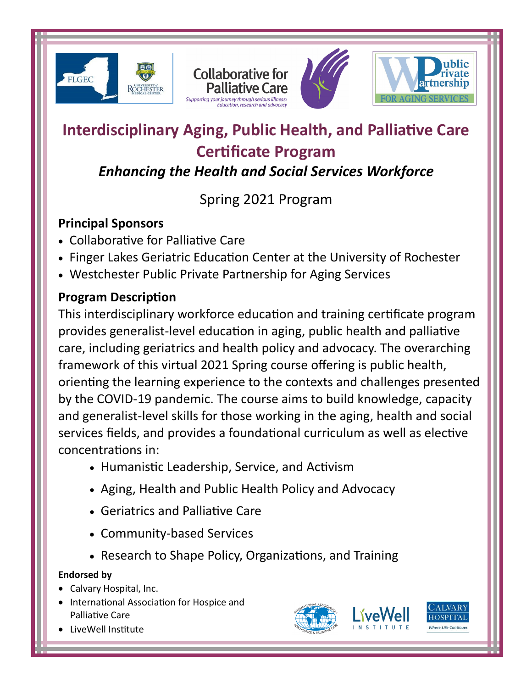







# **Interdisciplinary Aging, Public Health, and Palliative Care Certificate Program**

## *Enhancing the Health and Social Services Workforce*

# Spring 2021 Program

### **Principal Sponsors**

- Collaborative for Palliative Care
- Finger Lakes Geriatric Education Center at the University of Rochester
- Westchester Public Private Partnership for Aging Services

### **Program Description**

This interdisciplinary workforce education and training certificate program provides generalist-level education in aging, public health and palliative care, including geriatrics and health policy and advocacy. The overarching framework of this virtual 2021 Spring course offering is public health, orienting the learning experience to the contexts and challenges presented by the COVID-19 pandemic. The course aims to build knowledge, capacity and generalist-level skills for those working in the aging, health and social services fields, and provides a foundational curriculum as well as elective concentrations in:

- Humanistic Leadership, Service, and Activism
- Aging, Health and Public Health Policy and Advocacy
- Geriatrics and Palliative Care
- Community-based Services
- Research to Shape Policy, Organizations, and Training

#### **Endorsed by**

- Calvary Hospital, Inc.
- **International Association for Hospice and** Palliative Care
- LiveWell Institute